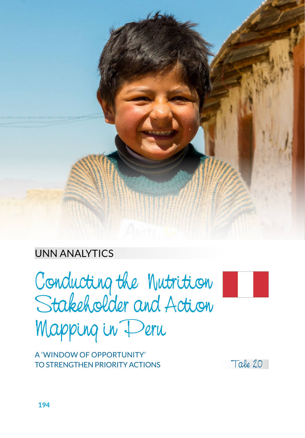

#### UNN ANALYTICS

Conducting the Nutrition Stakeholder and Action Mapping in Peru



A 'WINDOW OF OPPORTUNITY' TO STRENGTHEN PRIORITY ACTIONS

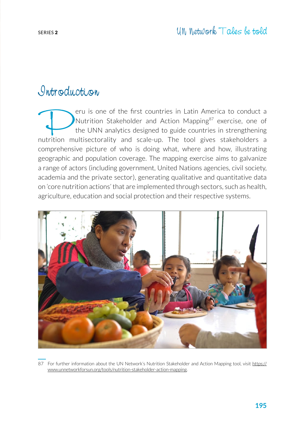#### Introduction

Peru is one of the first countries in Latin America to conduct a<br>Nutrition Stakeholder and Action Mapping<sup>87</sup> exercise, one of<br>the UNN analytics designed to guide countries in strengthening<br>nutrition multisectorality and s Nutrition Stakeholder and Action Mapping<sup>87</sup> exercise, one of the UNN analytics designed to guide countries in strengthening nutrition multisectorality and scale-up. The tool gives stakeholders a comprehensive picture of who is doing what, where and how, illustrating geographic and population coverage. The mapping exercise aims to galvanize a range of actors (including government, United Nations agencies, civil society, academia and the private sector), generating qualitative and quantitative data on 'core nutrition actions' that are implemented through sectors, such as health, agriculture, education and social protection and their respective systems.



87 For further information about the UN Network's Nutrition Stakeholder and Action Mapping tool, visit https:// www.unnetworkforsun.org/tools/nutrition-stakeholder-action-mapping.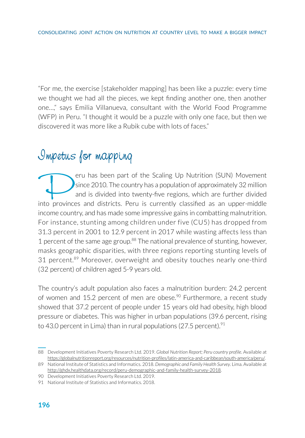"For me, the exercise [stakeholder mapping] has been like a puzzle: every time we thought we had all the pieces, we kept finding another one, then another one…," says Emilia Villanueva, consultant with the World Food Programme (WFP) in Peru. "I thought it would be a puzzle with only one face, but then we discovered it was more like a Rubik cube with lots of faces."

## Impetus for mapping

eru has been part of the Scaling Up Nutrition (SUN) Movement since 2010. The country has a population of approximately 32 million and is divided into twenty-five regions, which are further divided into provinces and districts. Peru is currently classified as an upper-middle income country, and has made some impressive gains in combatting malnutrition. For instance, stunting among children under five (CU5) has dropped from 31.3 percent in 2001 to 12.9 percent in 2017 while wasting affects less than 1 percent of the same age group.<sup>88</sup> The national prevalence of stunting, however, masks geographic disparities, with three regions reporting stunting levels of 31 percent.<sup>89</sup> Moreover, overweight and obesity touches nearly one-third (32 percent) of children aged 5-9 years old.

The country's adult population also faces a malnutrition burden: 24.2 percent of women and 15.2 percent of men are obese.<sup>90</sup> Furthermore, a recent study showed that 37.2 percent of people under 15 years old had obesity, high blood pressure or diabetes. This was higher in urban populations (39.6 percent, rising to 43.0 percent in Lima) than in rural populations (27.5 percent).  $91$ 

<sup>88</sup> Development Initiatives Poverty Research Ltd. 2019. *Global Nutrition Report; Peru country profile*. Available at [https://globalnutritionreport.org/resources/nutrition-profiles/latin-america-and-caribbean/south-america/peru/.](https://globalnutritionreport.org/resources/nutrition-profiles/latin-america-and-caribbean/south-america/peru/)

<sup>89</sup> National Institute of Statistics and Informatics. 2018. *Demographic and Family Health Survey*. Lima. Available at http://ghdx.healthdata.org/record/peru-demographic-and-family-health-survey-2018.

<sup>90</sup> Development Initiatives Poverty Research Ltd. 2019.

<sup>91</sup> National Institute of Statistics and Informatics. 2018.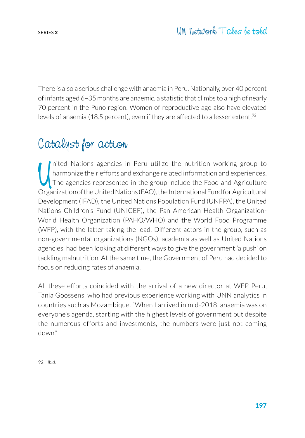There is also a serious challenge with anaemia in Peru. Nationally, over 40 percent of infants aged 6–35 months are anaemic, a statistic that climbs to a high of nearly 70 percent in the Puno region. Women of reproductive age also have elevated levels of anaemia (18.5 percent), even if they are affected to a lesser extent.<sup>92</sup>

## Catalyst for action

U nited Nations agencies in Peru utilize the nutrition working group to harmonize their efforts and exchange related information and experiences. The agencies represented in the group include the Food and Agriculture Organization of the United Nations (FAO), the International Fund for Agricultural Development (IFAD), the United Nations Population Fund (UNFPA), the United Nations Children's Fund (UNICEF), the Pan American Health Organization-World Health Organization (PAHO/WHO) and the World Food Programme (WFP), with the latter taking the lead. Different actors in the group, such as non-governmental organizations (NGOs), academia as well as United Nations agencies, had been looking at different ways to give the government 'a push' on tackling malnutrition. At the same time, the Government of Peru had decided to focus on reducing rates of anaemia.

All these efforts coincided with the arrival of a new director at WFP Peru, Tania Goossens, who had previous experience working with UNN analytics in countries such as Mozambique. "When I arrived in mid-2018, anaemia was on everyone's agenda, starting with the highest levels of government but despite the numerous efforts and investments, the numbers were just not coming down."

92 *Ibid.*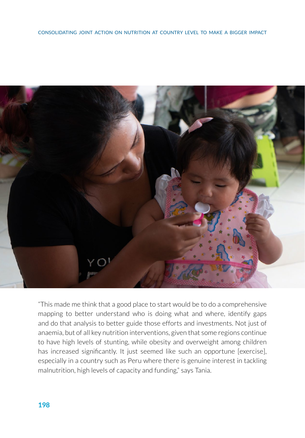

"This made me think that a good place to start would be to do a comprehensive mapping to better understand who is doing what and where, identify gaps and do that analysis to better guide those efforts and investments. Not just of anaemia, but of all key nutrition interventions, given that some regions continue to have high levels of stunting, while obesity and overweight among children has increased significantly. It just seemed like such an opportune [exercise], especially in a country such as Peru where there is genuine interest in tackling malnutrition, high levels of capacity and funding," says Tania.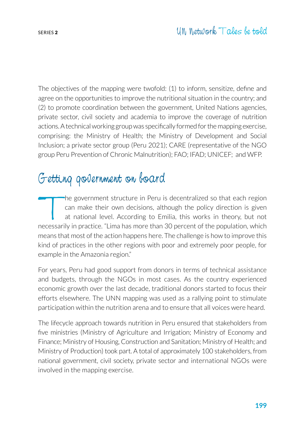The objectives of the mapping were twofold: (1) to inform, sensitize, define and agree on the opportunities to improve the nutritional situation in the country; and (2) to promote coordination between the government, United Nations agencies, private sector, civil society and academia to improve the coverage of nutrition actions. A technical working group was specifically formed for the mapping exercise, comprising: the Ministry of Health; the Ministry of Development and Social Inclusion; a private sector group (Peru 2021); CARE (representative of the NGO group Peru Prevention of Chronic Malnutrition); FAO; IFAD; UNICEF; and WFP.

### Getting government on board

The government structure in Peru is decentralized so that each region<br>can make their own decisions, although the policy direction is given<br>at national level. According to Emilia, this works in theory, but not<br>necessarily i can make their own decisions, although the policy direction is given at national level. According to Emilia, this works in theory, but not necessarily in practice. "Lima has more than 30 percent of the population, which means that most of the action happens here. The challenge is how to improve this kind of practices in the other regions with poor and extremely poor people, for example in the Amazonia region."

For years, Peru had good support from donors in terms of technical assistance and budgets, through the NGOs in most cases. As the country experienced economic growth over the last decade, traditional donors started to focus their efforts elsewhere. The UNN mapping was used as a rallying point to stimulate participation within the nutrition arena and to ensure that all voices were heard.

The lifecycle approach towards nutrition in Peru ensured that stakeholders from five ministries (Ministry of Agriculture and Irrigation; Ministry of Economy and Finance; Ministry of Housing, Construction and Sanitation; Ministry of Health; and Ministry of Production) took part. A total of approximately 100 stakeholders, from national government, civil society, private sector and international NGOs were involved in the mapping exercise.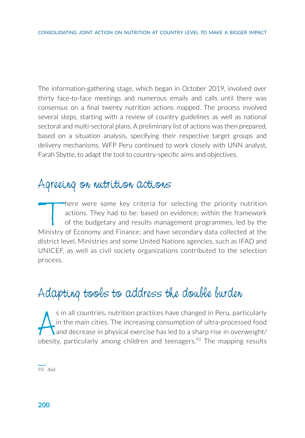The information-gathering stage, which began in October 2019, involved over thirty face-to-face meetings and numerous emails and calls until there was consensus on a final twenty nutrition actions mapped. The process involved several steps, starting with a review of country guidelines as well as national sectoral and multi-sectoral plans. A preliminary list of actions was then prepared, based on a situation analysis, specifying their respective target groups and delivery mechanisms. WFP Peru continued to work closely with UNN analyst, Farah Sbytte, to adapt the tool to country-specific aims and objectives.

#### Agreeing on nutrition actions

There were some key criteria for selecting the priority nutrition<br>actions. They had to be: based on evidence; within the framework<br>of the budgetary and results management programmes, led by the<br>Ministry of Economy and Eina actions. They had to be: based on evidence; within the framework of the budgetary and results management programmes, led by the Ministry of Economy and Finance; and have secondary data collected at the district level. Ministries and some United Nations agencies, such as IFAD and UNICEF, as well as civil society organizations contributed to the selection process.

## Adapting tools to address the double burden

s in all countries, nutrition practices have changed in Peru, particularly<br>in the main cities. The increasing consumption of ultra-processed food<br>and decrease in physical exercise has led to a sharp rise in overweight/<br>obe s in all countries, nutrition practices have changed in Peru, particularly in the main cities. The increasing consumption of ultra-processed food and decrease in physical exercise has led to a sharp rise in overweight/

93 *Ibid.*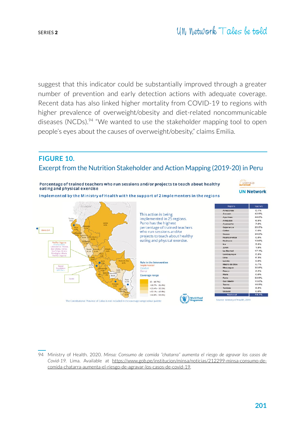suggest that this indicator could be substantially improved through a greater number of prevention and early detection actions with adequate coverage. Recent data has also linked higher mortality from COVID-19 to regions with higher prevalence of overweight/obesity and diet-related noncommunicable diseases (NCDs).<sup>94</sup> "We wanted to use the stakeholder mapping tool to open people's eyes about the causes of overweight/obesity," claims Emilia.

#### **FIGURE 10.** Excerpt from the Nutrition Stakeholder and Action Mapping (2019-20) in Peru



94 Ministry of Health. 2020. *Minsa: Consumo de comida "chatarra" aumenta el riesgo de agravar los casos de Covid-19.* Lima. Available at [https://www.gob.pe/institucion/minsa/noticias/212299-minsa-consumo-de](https://www.gob.pe/institucion/minsa/noticias/212299-minsa-consumo-de-comida-chatarra-aumenta-el-riesgo-de-agravar-los-casos-de-covid-19)[comida-chatarra-aumenta-el-riesgo-de-agravar-los-casos-de-covid-19](https://www.gob.pe/institucion/minsa/noticias/212299-minsa-consumo-de-comida-chatarra-aumenta-el-riesgo-de-agravar-los-casos-de-covid-19).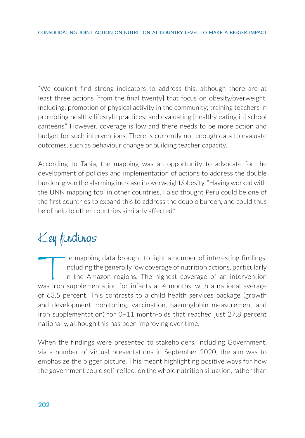"We couldn't find strong indicators to address this, although there are at least three actions [from the final twenty] that focus on obesity/overweight, including: promotion of physical activity in the community; training teachers in promoting healthy lifestyle practices; and evaluating [healthy eating in] school canteens." However, coverage is low and there needs to be more action and budget for such interventions. There is currently not enough data to evaluate outcomes, such as behaviour change or building teacher capacity.

According to Tania, the mapping was an opportunity to advocate for the development of policies and implementation of actions to address the double burden, given the alarming increase in overweight/obesity. "Having worked with the UNN mapping tool in other countries, I also thought Peru could be one of the first countries to expand this to address the double burden, and could thus be of help to other countries similarly affected."

# Key findings

The mapping data brought to light a number of interesting findings,<br>including the generally low coverage of nutrition actions, particularly<br>in the Amazon regions. The highest coverage of an intervention<br>was iron supplement including the generally low coverage of nutrition actions, particularly in the Amazon regions. The highest coverage of an intervention was iron supplementation for infants at 4 months, with a national average of 63.5 percent. This contrasts to a child health services package (growth and development monitoring, vaccination, haemoglobin measurement and iron supplementation) for 0–11 month-olds that reached just 27.8 percent nationally, although this has been improving over time.

When the findings were presented to stakeholders, including Government, via a number of virtual presentations in September 2020, the aim was to emphasize the bigger picture. This meant highlighting positive ways for how the government could self-reflect on the whole nutrition situation, rather than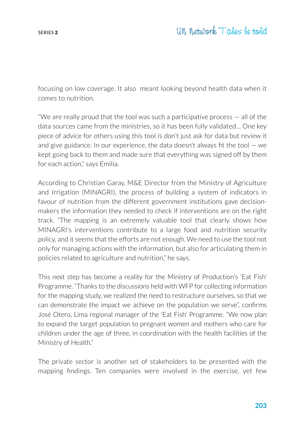focusing on low coverage. It also meant looking beyond health data when it comes to nutrition.

"We are really proud that the tool was such a participative process — all of the data sources came from the ministries, so it has been fully validated… One key piece of advice for others using this tool is don't just ask for data but review it and give guidance. In our experience, the data doesn't always fit the tool  $-$  we kept going back to them and made sure that everything was signed off by them for each action," says Emilia.

According to Christian Garay, M&E Director from the Ministry of Agriculture and Irrigation (MINAGRI), the process of building a system of indicators in favour of nutrition from the different government institutions gave decisionmakers the information they needed to check if interventions are on the right track. "The mapping is an extremely valuable tool that clearly shows how MINAGRI's interventions contribute to a large food and nutrition security policy, and it seems that the efforts are not enough. We need to use the tool not only for managing actions with the information, but also for articulating them in policies related to agriculture and nutrition," he says.

This next step has become a reality for the Ministry of Production's 'Eat Fish' Programme. "Thanks to the discussions held with WFP for collecting information for the mapping study, we realized the need to restructure ourselves, so that we can demonstrate the impact we achieve on the population we serve", confirms José Otero, Lima regional manager of the 'Eat Fish' Programme. "We now plan to expand the target population to pregnant women and mothers who care for children under the age of three, in coordination with the health facilities of the Ministry of Health."

The private sector is another set of stakeholders to be presented with the mapping findings. Ten companies were involved in the exercise, yet few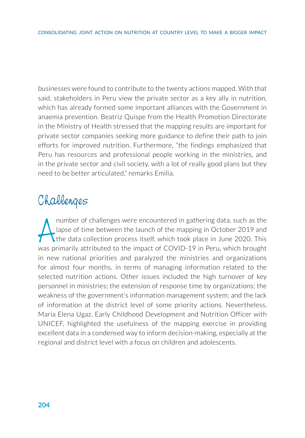businesses were found to contribute to the twenty actions mapped. With that said, stakeholders in Peru view the private sector as a key ally in nutrition, which has already formed some important alliances with the Government in anaemia prevention. Beatriz Quispe from the Health Promotion Directorate in the Ministry of Health stressed that the mapping results are important for private sector companies seeking more guidance to define their path to join efforts for improved nutrition. Furthermore, "the findings emphasized that Peru has resources and professional people working in the ministries, and in the private sector and civil society, with a lot of really good plans but they need to be better articulated," remarks Emilia.

# Challenges

A number of challenges were encountered in gathering data, such as the lapse of time between the launch of the mapping in October 2019 and the data collection process itself, which took place in June 2020. This was primari number of challenges were encountered in gathering data, such as the lapse of time between the launch of the mapping in October 2019 and the data collection process itself, which took place in June 2020. This in new national priorities and paralyzed the ministries and organizations for almost four months, in terms of managing information related to the selected nutrition actions. Other issues included the high turnover of key personnel in ministries; the extension of response time by organizations; the weakness of the government's information management system; and the lack of information at the district level of some priority actions. Nevertheless, María Elena Ugaz, Early Childhood Development and Nutrition Officer with UNICEF, highlighted the usefulness of the mapping exercise in providing excellent data in a condensed way to inform decision-making, especially at the regional and district level with a focus on children and adolescents.